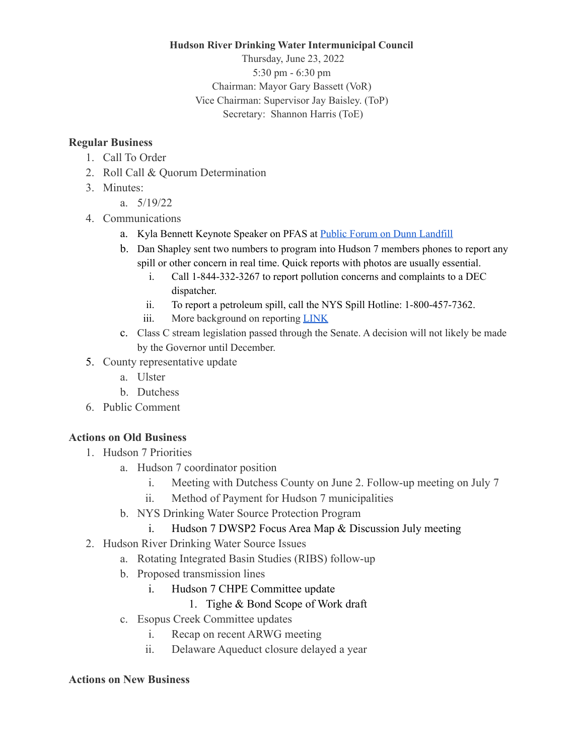**Hudson River Drinking Water Intermunicipal Council**

Thursday, June 23, 2022 5:30 pm - 6:30 pm Chairman: Mayor Gary Bassett (VoR) Vice Chairman: Supervisor Jay Baisley. (ToP) Secretary: Shannon Harris (ToE)

## **Regular Business**

- 1. Call To Order
- 2. Roll Call & Quorum Determination
- 3. Minutes:
	- a. 5/19/22
- 4. Communications
	- a. Kyla Bennett Keynote Speaker on PFAS at **Public Forum on Dunn [Landfill](https://www.youtube.com/watch?v=uQyjy4YVyWI)**
	- b. Dan Shapley sent two numbers to program into Hudson 7 members phones to report any spill or other concern in real time. Quick reports with photos are usually essential.
		- i. Call 1-844-332-3267 to report pollution concerns and complaints to a DEC dispatcher.
		- ii. To report a petroleum spill, call the NYS Spill Hotline: 1-800-457-7362.
		- iii. More background on reporting [LINK](https://www.dec.ny.gov/regulations/393.html)
	- c. Class C stream legislation passed through the Senate. A decision will not likely be made by the Governor until December.
- 5. County representative update
	- a. Ulster
	- b. Dutchess
- 6. Public Comment

## **Actions on Old Business**

- 1. Hudson 7 Priorities
	- a. Hudson 7 coordinator position
		- i. Meeting with Dutchess County on June 2. Follow-up meeting on July 7
		- ii. Method of Payment for Hudson 7 municipalities
	- b. NYS Drinking Water Source Protection Program
		- i. Hudson 7 DWSP2 Focus Area Map & Discussion July meeting
- 2. Hudson River Drinking Water Source Issues
	- a. Rotating Integrated Basin Studies (RIBS) follow-up
	- b. Proposed transmission lines
		- i. Hudson 7 CHPE Committee update
			- 1. Tighe & Bond Scope of Work draft
	- c. Esopus Creek Committee updates
		- i. Recap on recent ARWG meeting
		- ii. Delaware Aqueduct closure delayed a year

## **Actions on New Business**